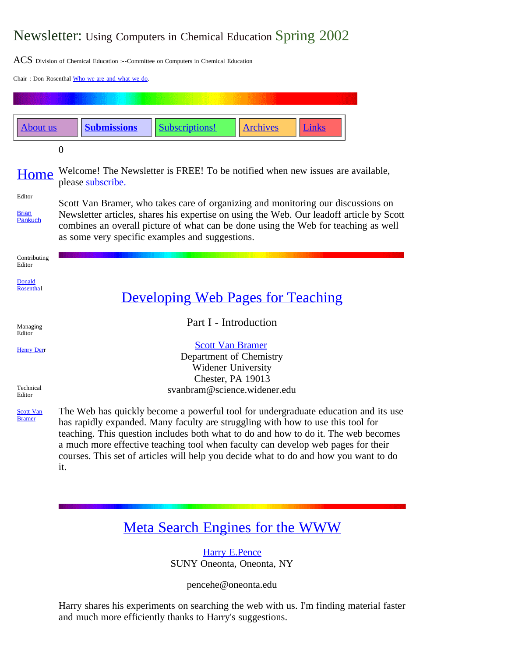# Newsletter: Using Computers in Chemical Education Spring 2002

 $\mathrm{ACS}\:$  Division of Chemical Education :--Committee on Computers in Chemical Education

Chair : Don Rosenthal [Who we are and what we do](http://science.widener.edu/svb/cccenews/rosenthal1.html).



# [Meta Search Engines for the WWW](http://webserver1.oneonta.edu/faculty/pencehe/metaengine.html)

[Harry E.Pence](mailto:pencehe@snyoneva.cc.oneonta.edu) SUNY Oneonta, Oneonta, NY

pencehe@oneonta.edu

Harry shares his experiments on searching the web with us. I'm finding material faster and much more efficiently thanks to Harry's suggestions.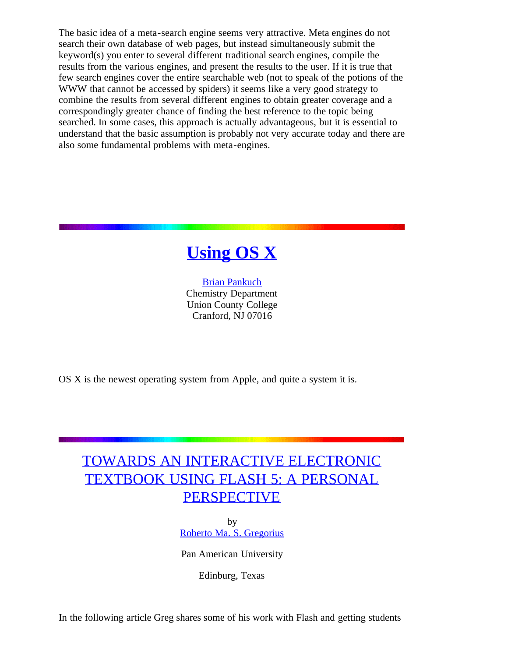The basic idea of a meta-search engine seems very attractive. Meta engines do not search their own database of web pages, but instead simultaneously submit the keyword(s) you enter to several different traditional search engines, compile the results from the various engines, and present the results to the user. If it is true that few search engines cover the entire searchable web (not to speak of the potions of the WWW that cannot be accessed by spiders) it seems like a very good strategy to combine the results from several different engines to obtain greater coverage and a correspondingly greater chance of finding the best reference to the topic being searched. In some cases, this approach is actually advantageous, but it is essential to understand that the basic assumption is probably not very accurate today and there are also some fundamental problems with meta-engines.



[Brian Pankuch](mailto:pankuch@eclipse.net) Chemistry Department Union County College Cranford, NJ 07016

OS X is the newest operating system from Apple, and quite a system it is.

# [TOWARDS AN INTERACTIVE ELECTRONIC](http://newmedia.panam.edu/projects/confchem/) [TEXTBOOK USING FLASH 5: A PERSONAL](http://newmedia.panam.edu/projects/confchem/) **[PERSPECTIVE](http://newmedia.panam.edu/projects/confchem/)**

by [Roberto Ma. S. Gregorius](mailto:greg@smtp.panam.edu)

Pan American University

Edinburg, Texas

In the following article Greg shares some of his work with Flash and getting students